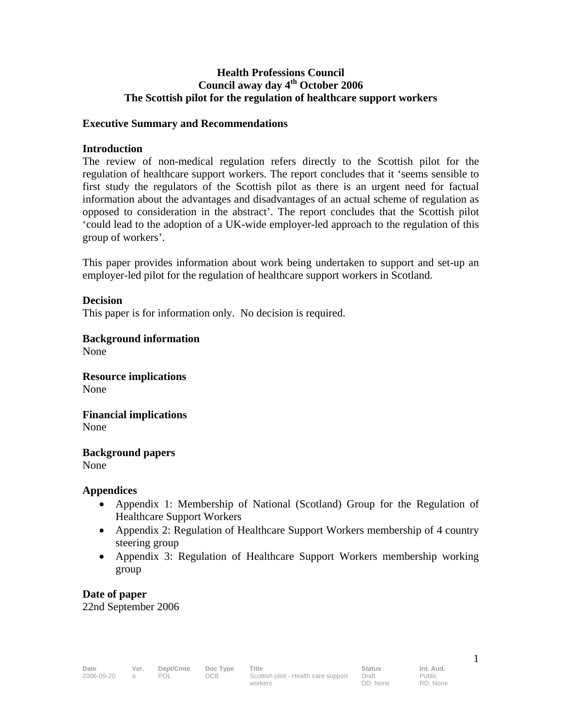#### **Health Professions Council Council away day 4th October 2006 The Scottish pilot for the regulation of healthcare support workers**

#### **Executive Summary and Recommendations**

#### **Introduction**

The review of non-medical regulation refers directly to the Scottish pilot for the regulation of healthcare support workers. The report concludes that it 'seems sensible to first study the regulators of the Scottish pilot as there is an urgent need for factual information about the advantages and disadvantages of an actual scheme of regulation as opposed to consideration in the abstract'. The report concludes that the Scottish pilot 'could lead to the adoption of a UK-wide employer-led approach to the regulation of this group of workers'.

This paper provides information about work being undertaken to support and set-up an employer-led pilot for the regulation of healthcare support workers in Scotland.

#### **Decision**

This paper is for information only. No decision is required.

**Background information** 

None

**Resource implications**  None

**Financial implications**  None

**Background papers**  None

#### **Appendices**

- Appendix 1: Membership of National (Scotland) Group for the Regulation of Healthcare Support Workers
- Appendix 2: Regulation of Healthcare Support Workers membership of 4 country steering group
- Appendix 3: Regulation of Healthcare Support Workers membership working group

**Date of paper**  22nd September 2006

Public RD: None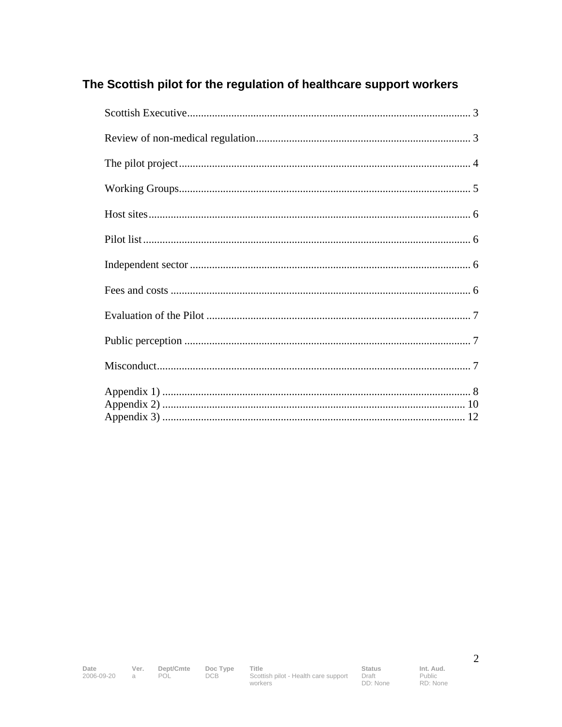# The Scottish pilot for the regulation of healthcare support workers

Date  $2006 - 09 - 20$  a

Ver. Dept/Cmte<br>a POL

Doc Type<br>DCB Title Int. Aud. Public RD: None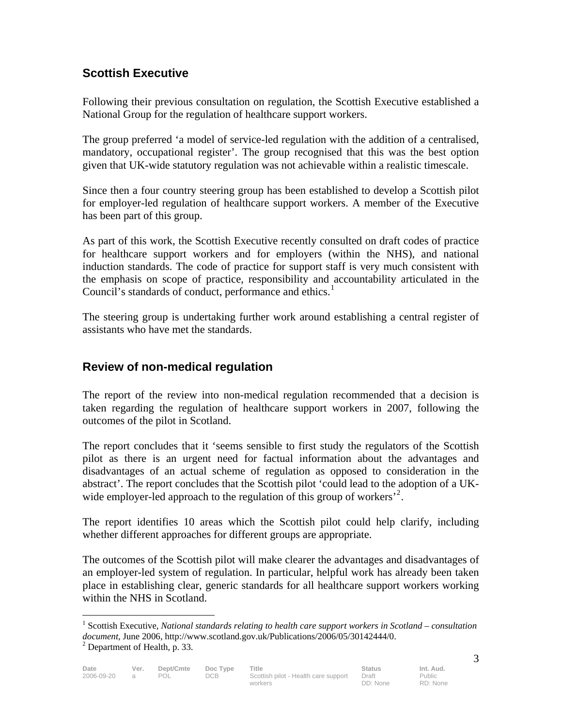## **Scottish Executive**

Following their previous consultation on regulation, the Scottish Executive established a National Group for the regulation of healthcare support workers.

The group preferred 'a model of service-led regulation with the addition of a centralised, mandatory, occupational register'. The group recognised that this was the best option given that UK-wide statutory regulation was not achievable within a realistic timescale.

Since then a four country steering group has been established to develop a Scottish pilot for employer-led regulation of healthcare support workers. A member of the Executive has been part of this group.

As part of this work, the Scottish Executive recently consulted on draft codes of practice for healthcare support workers and for employers (within the NHS), and national induction standards. The code of practice for support staff is very much consistent with the emphasis on scope of practice, responsibility and accountability articulated in the Council's standards of conduct, performance and ethics.<sup>1</sup>

The steering group is undertaking further work around establishing a central register of assistants who have met the standards.

## **Review of non-medical regulation**

The report of the review into non-medical regulation recommended that a decision is taken regarding the regulation of healthcare support workers in 2007, following the outcomes of the pilot in Scotland.

The report concludes that it 'seems sensible to first study the regulators of the Scottish pilot as there is an urgent need for factual information about the advantages and disadvantages of an actual scheme of regulation as opposed to consideration in the abstract'. The report concludes that the Scottish pilot 'could lead to the adoption of a UKwide employer-led approach to the regulation of this group of workers<sup> $2$ </sup>.

The report identifies 10 areas which the Scottish pilot could help clarify, including whether different approaches for different groups are appropriate.

The outcomes of the Scottish pilot will make clearer the advantages and disadvantages of an employer-led system of regulation. In particular, helpful work has already been taken place in establishing clear, generic standards for all healthcare support workers working within the NHS in Scotland.

<sup>&</sup>lt;sup>1</sup> Scottish Executive, *National standards relating to health care support workers in Scotland – consultation document*, June 2006, http://www.scotland.gov.uk/Publications/2006/05/30142444/0. 2

 $2$  Department of Health, p. 33.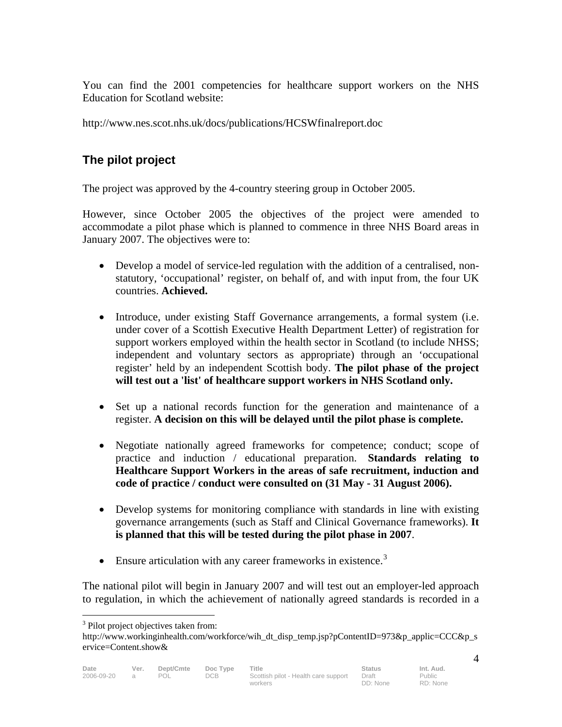You can find the 2001 competencies for healthcare support workers on the NHS Education for Scotland website:

http://www.nes.scot.nhs.uk/docs/publications/HCSWfinalreport.doc

# **The pilot project**

The project was approved by the 4-country steering group in October 2005.

However, since October 2005 the objectives of the project were amended to accommodate a pilot phase which is planned to commence in three NHS Board areas in January 2007. The objectives were to:

- Develop a model of service-led regulation with the addition of a centralised, nonstatutory, 'occupational' register, on behalf of, and with input from, the four UK countries. **Achieved.**
- Introduce, under existing Staff Governance arrangements, a formal system (i.e. under cover of a Scottish Executive Health Department Letter) of registration for support workers employed within the health sector in Scotland (to include NHSS; independent and voluntary sectors as appropriate) through an 'occupational register' held by an independent Scottish body. **The pilot phase of the project will test out a 'list' of healthcare support workers in NHS Scotland only.**
- Set up a national records function for the generation and maintenance of a register. **A decision on this will be delayed until the pilot phase is complete.**
- Negotiate nationally agreed frameworks for competence; conduct; scope of practice and induction / educational preparation. **Standards relating to Healthcare Support Workers in the areas of safe recruitment, induction and code of practice / conduct were consulted on (31 May - 31 August 2006).**
- Develop systems for monitoring compliance with standards in line with existing governance arrangements (such as Staff and Clinical Governance frameworks). **It is planned that this will be tested during the pilot phase in 2007**.
- Ensure articulation with any career frameworks in existence.<sup>3</sup>

The national pilot will begin in January 2007 and will test out an employer-led approach to regulation, in which the achievement of nationally agreed standards is recorded in a

<sup>&</sup>lt;sup>3</sup> Pilot project objectives taken from:

http://www.workinginhealth.com/workforce/wih\_dt\_disp\_temp.jsp?pContentID=973&p\_applic=CCC&p\_s ervice=Content.show&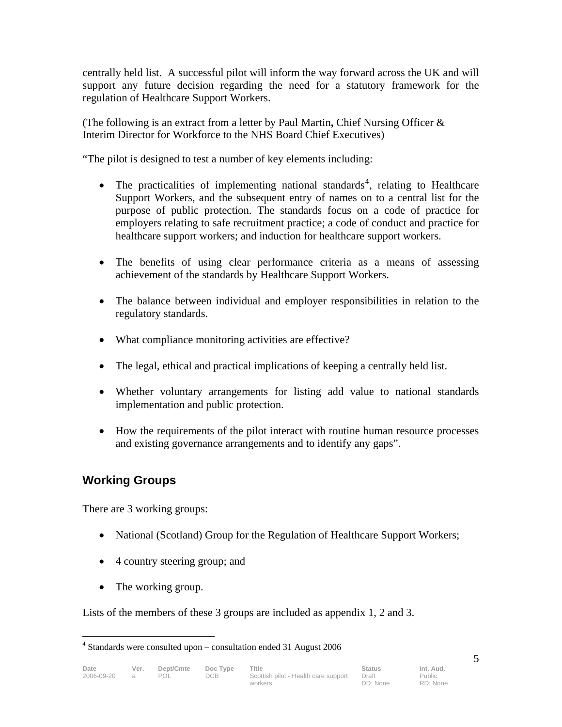centrally held list. A successful pilot will inform the way forward across the UK and will support any future decision regarding the need for a statutory framework for the regulation of Healthcare Support Workers.

(The following is an extract from a letter by Paul Martin**,** Chief Nursing Officer & Interim Director for Workforce to the NHS Board Chief Executives)

"The pilot is designed to test a number of key elements including:

- The practicalities of implementing national standards<sup>4</sup>, relating to Healthcare Support Workers, and the subsequent entry of names on to a central list for the purpose of public protection. The standards focus on a code of practice for employers relating to safe recruitment practice; a code of conduct and practice for healthcare support workers; and induction for healthcare support workers.
- The benefits of using clear performance criteria as a means of assessing achievement of the standards by Healthcare Support Workers.
- The balance between individual and employer responsibilities in relation to the regulatory standards.
- What compliance monitoring activities are effective?
- The legal, ethical and practical implications of keeping a centrally held list.
- Whether voluntary arrangements for listing add value to national standards implementation and public protection.
- How the requirements of the pilot interact with routine human resource processes and existing governance arrangements and to identify any gaps".

## **Working Groups**

There are 3 working groups:

- National (Scotland) Group for the Regulation of Healthcare Support Workers;
- 4 country steering group; and
- The working group.

Lists of the members of these 3 groups are included as appendix 1, 2 and 3.

<u>.</u>

<sup>&</sup>lt;sup>4</sup> Standards were consulted upon – consultation ended 31 August 2006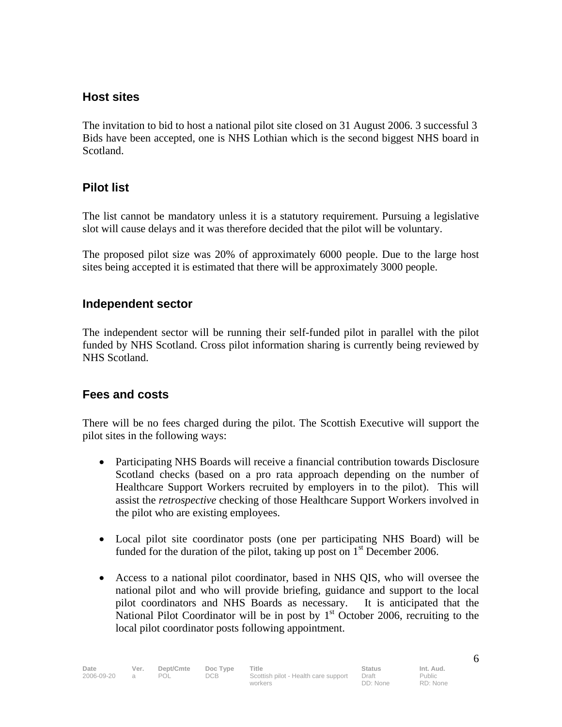## **Host sites**

The invitation to bid to host a national pilot site closed on 31 August 2006. 3 successful 3 Bids have been accepted, one is NHS Lothian which is the second biggest NHS board in Scotland.

## **Pilot list**

The list cannot be mandatory unless it is a statutory requirement. Pursuing a legislative slot will cause delays and it was therefore decided that the pilot will be voluntary.

The proposed pilot size was 20% of approximately 6000 people. Due to the large host sites being accepted it is estimated that there will be approximately 3000 people.

#### **Independent sector**

The independent sector will be running their self-funded pilot in parallel with the pilot funded by NHS Scotland. Cross pilot information sharing is currently being reviewed by NHS Scotland.

## **Fees and costs**

There will be no fees charged during the pilot. The Scottish Executive will support the pilot sites in the following ways:

- Participating NHS Boards will receive a financial contribution towards Disclosure Scotland checks (based on a pro rata approach depending on the number of Healthcare Support Workers recruited by employers in to the pilot). This will assist the *retrospective* checking of those Healthcare Support Workers involved in the pilot who are existing employees.
- Local pilot site coordinator posts (one per participating NHS Board) will be funded for the duration of the pilot, taking up post on  $1<sup>st</sup>$  December 2006.
- Access to a national pilot coordinator, based in NHS QIS, who will oversee the national pilot and who will provide briefing, guidance and support to the local pilot coordinators and NHS Boards as necessary. It is anticipated that the National Pilot Coordinator will be in post by  $1<sup>st</sup>$  October 2006, recruiting to the local pilot coordinator posts following appointment.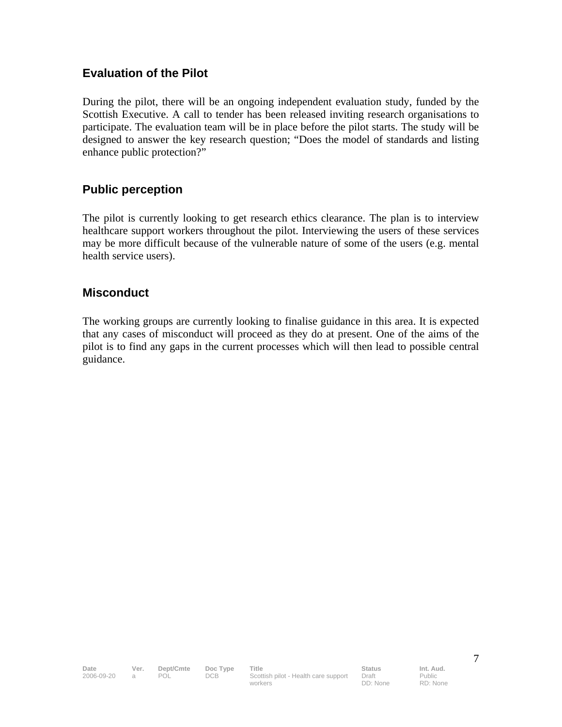## **Evaluation of the Pilot**

During the pilot, there will be an ongoing independent evaluation study, funded by the Scottish Executive. A call to tender has been released inviting research organisations to participate. The evaluation team will be in place before the pilot starts. The study will be designed to answer the key research question; "Does the model of standards and listing enhance public protection?"

## **Public perception**

The pilot is currently looking to get research ethics clearance. The plan is to interview healthcare support workers throughout the pilot. Interviewing the users of these services may be more difficult because of the vulnerable nature of some of the users (e.g. mental health service users).

#### **Misconduct**

The working groups are currently looking to finalise guidance in this area. It is expected that any cases of misconduct will proceed as they do at present. One of the aims of the pilot is to find any gaps in the current processes which will then lead to possible central guidance.

Public RD: None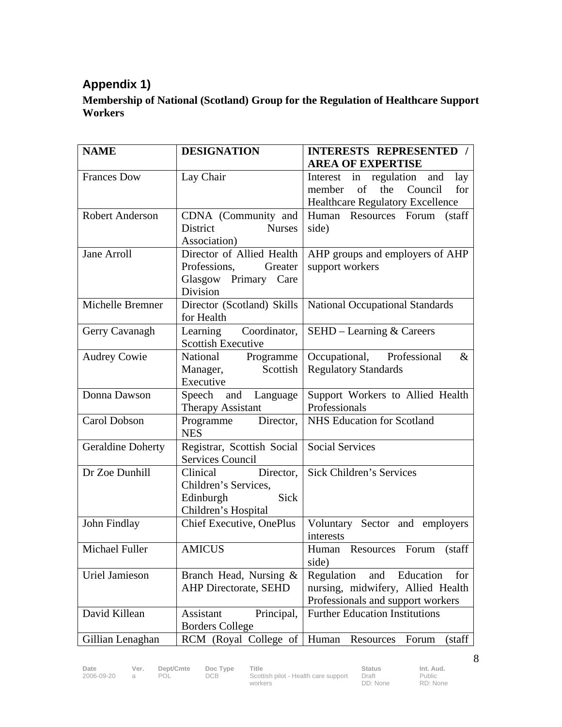# **Appendix 1)**

## **Membership of National (Scotland) Group for the Regulation of Healthcare Support Workers**

| <b>NAME</b>              | <b>DESIGNATION</b>               | <b>INTERESTS REPRESENTED /</b>          |
|--------------------------|----------------------------------|-----------------------------------------|
|                          |                                  | <b>AREA OF EXPERTISE</b>                |
| <b>Frances Dow</b>       | Lay Chair                        | and<br>in regulation<br>lay<br>Interest |
|                          |                                  | of<br>the<br>Council<br>for<br>member   |
|                          |                                  | Healthcare Regulatory Excellence        |
| <b>Robert Anderson</b>   | CDNA (Community and              | Human Resources Forum<br>(staff)        |
|                          | <b>District</b><br><b>Nurses</b> | side)                                   |
|                          | Association)                     |                                         |
| <b>Jane Arroll</b>       | Director of Allied Health        | AHP groups and employers of AHP         |
|                          | Professions,<br>Greater          | support workers                         |
|                          | Glasgow Primary Care             |                                         |
|                          | Division                         |                                         |
| Michelle Bremner         | Director (Scotland) Skills       | <b>National Occupational Standards</b>  |
|                          | for Health                       |                                         |
| Gerry Cavanagh           | Learning<br>Coordinator,         | $SEHD - Learning & Careers$             |
|                          | <b>Scottish Executive</b>        |                                         |
| <b>Audrey Cowie</b>      | National<br>Programme            | Occupational, Professional<br>$\&$      |
|                          | Scottish<br>Manager,             | <b>Regulatory Standards</b>             |
|                          | Executive                        |                                         |
| Donna Dawson             | Speech and Language              | Support Workers to Allied Health        |
|                          | Therapy Assistant                | Professionals                           |
| Carol Dobson             | Director,<br>Programme           | NHS Education for Scotland              |
|                          | <b>NES</b>                       |                                         |
| <b>Geraldine Doherty</b> | Registrar, Scottish Social       | <b>Social Services</b>                  |
|                          | Services Council                 |                                         |
| Dr Zoe Dunhill           | Director,<br>Clinical            | Sick Children's Services                |
|                          | Children's Services,             |                                         |
|                          | Sick<br>Edinburgh                |                                         |
|                          | Children's Hospital              |                                         |
| John Findlay             | Chief Executive, OnePlus         | Voluntary Sector and employers          |
|                          |                                  | interests                               |
| Michael Fuller           | <b>AMICUS</b>                    | Human Resources<br>Forum<br>(staff      |
|                          |                                  | side)                                   |
| <b>Uriel Jamieson</b>    | Branch Head, Nursing &           | Regulation<br>and Education<br>for      |
|                          | <b>AHP Directorate, SEHD</b>     | nursing, midwifery, Allied Health       |
|                          |                                  | Professionals and support workers       |
| David Killean            | Principal,<br>Assistant          | <b>Further Education Institutions</b>   |
|                          | <b>Borders College</b>           |                                         |
| Gillian Lenaghan         | RCM (Royal College of            | Human Resources<br>(staff<br>Forum      |

workers

Public RD: None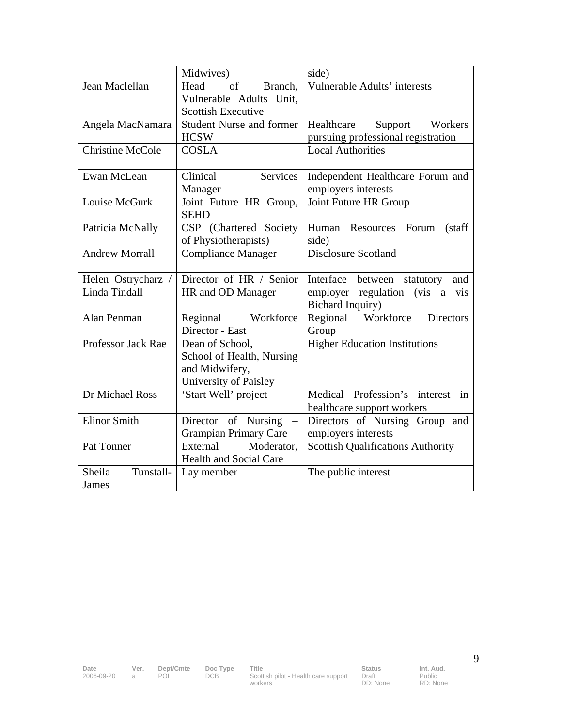|                         | Midwives)                                   | side)                                                |
|-------------------------|---------------------------------------------|------------------------------------------------------|
| Jean Maclellan          | Head<br>of<br>Branch,                       | Vulnerable Adults' interests                         |
|                         | Vulnerable Adults Unit,                     |                                                      |
|                         | <b>Scottish Executive</b>                   |                                                      |
| Angela MacNamara        | <b>Student Nurse and former</b>             | Support Workers<br>Healthcare                        |
|                         | <b>HCSW</b>                                 | pursuing professional registration                   |
| <b>Christine McCole</b> | <b>COSLA</b>                                | <b>Local Authorities</b>                             |
| Ewan McLean             | Services<br>Clinical                        | Independent Healthcare Forum and                     |
|                         | Manager                                     | employers interests                                  |
| Louise McGurk           | Joint Future HR Group,                      | Joint Future HR Group                                |
|                         | <b>SEHD</b>                                 |                                                      |
| Patricia McNally        | CSP (Chartered Society                      | Human Resources Forum<br>(staff)                     |
|                         | of Physiotherapists)                        | side)                                                |
| <b>Andrew Morrall</b>   | <b>Compliance Manager</b>                   | Disclosure Scotland                                  |
|                         |                                             |                                                      |
| Helen Ostrycharz /      | Director of HR / Senior                     | Interface between statutory<br>and                   |
| Linda Tindall           | HR and OD Manager                           | employer regulation (vis a<br>vis                    |
|                         |                                             | <b>Bichard Inquiry)</b>                              |
| Alan Penman             | Workforce<br>Regional                       | Regional Workforce<br><b>Directors</b>               |
|                         | Director - East                             | Group                                                |
| Professor Jack Rae      | Dean of School,                             | <b>Higher Education Institutions</b>                 |
|                         | School of Health, Nursing<br>and Midwifery, |                                                      |
|                         | University of Paisley                       |                                                      |
| Dr Michael Ross         | 'Start Well' project                        | Medical Profession's interest<br>$\operatorname{in}$ |
|                         |                                             | healthcare support workers                           |
| <b>Elinor Smith</b>     | Director of Nursing<br>$\equiv$             | Directors of Nursing Group and                       |
|                         | <b>Grampian Primary Care</b>                | employers interests                                  |
| Pat Tonner              | External<br>Moderator,                      | <b>Scottish Qualifications Authority</b>             |
|                         | Health and Social Care                      |                                                      |
| Sheila<br>Tunstall-     | Lay member                                  | The public interest                                  |
| James                   |                                             |                                                      |

**Date Ver. Dept/Cmte Doc Type Title**<br>2006-09-20 a POL DCB Scotti

Draft DD: None Public RD: None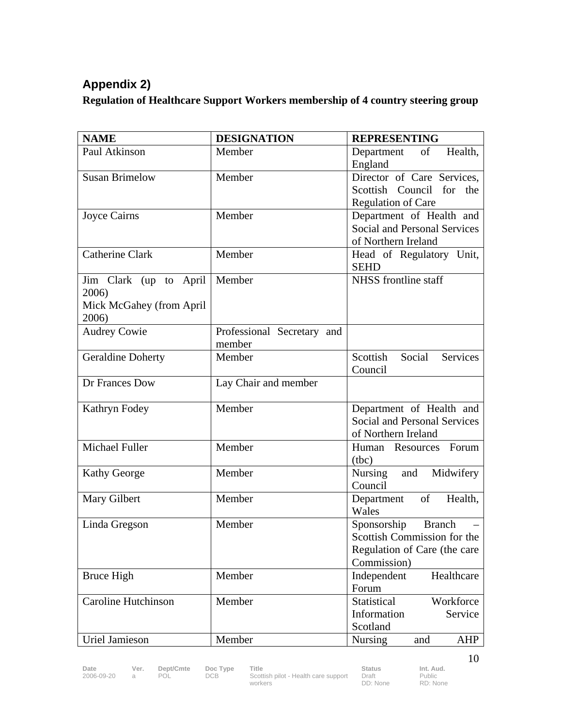# **Appendix 2)**

## **Regulation of Healthcare Support Workers membership of 4 country steering group**

| <b>NAME</b>                | <b>DESIGNATION</b>         | <b>REPRESENTING</b>                 |
|----------------------------|----------------------------|-------------------------------------|
| Paul Atkinson              | Member                     | of<br>Department<br>Health,         |
|                            |                            | England                             |
| <b>Susan Brimelow</b>      | Member                     | Director of Care Services,          |
|                            |                            | Scottish Council for the            |
|                            |                            | <b>Regulation of Care</b>           |
| Joyce Cairns               | Member                     | Department of Health and            |
|                            |                            | <b>Social and Personal Services</b> |
|                            |                            | of Northern Ireland                 |
| <b>Catherine Clark</b>     | Member                     | Head of Regulatory Unit,            |
|                            |                            | <b>SEHD</b>                         |
| Jim Clark (up to April     | Member                     | NHSS frontline staff                |
| 2006)                      |                            |                                     |
| Mick McGahey (from April   |                            |                                     |
| 2006)                      |                            |                                     |
| <b>Audrey Cowie</b>        | Professional Secretary and |                                     |
|                            | member                     |                                     |
| <b>Geraldine Doherty</b>   | Member                     | Scottish<br>Social<br>Services      |
|                            |                            | Council                             |
| Dr Frances Dow             | Lay Chair and member       |                                     |
|                            |                            |                                     |
| Kathryn Fodey              | Member                     | Department of Health and            |
|                            |                            | <b>Social and Personal Services</b> |
|                            |                            | of Northern Ireland                 |
| Michael Fuller             | Member                     | Human Resources Forum               |
|                            |                            | (tbc)                               |
| <b>Kathy George</b>        | Member                     | Midwifery<br>and<br>Nursing         |
|                            |                            | Council                             |
| Mary Gilbert               | Member                     | of<br>Department<br>Health,         |
|                            |                            | Wales                               |
| Linda Gregson              | Member                     | Sponsorship<br><b>Branch</b>        |
|                            |                            | Scottish Commission for the         |
|                            |                            | Regulation of Care (the care        |
|                            |                            | Commission)                         |
| <b>Bruce High</b>          | Member                     | Independent<br>Healthcare           |
|                            |                            | Forum                               |
| <b>Caroline Hutchinson</b> | Member                     | Statistical<br>Workforce            |
|                            |                            | Information<br>Service              |
|                            |                            | Scotland                            |
| Uriel Jamieson             | Member                     | <b>Nursing</b><br>AHP<br>and        |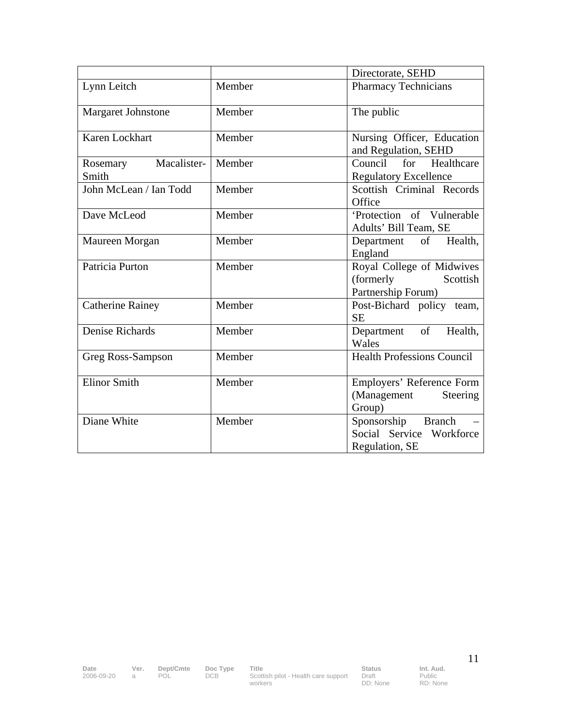|                                  |        | Directorate, SEHD                                                        |
|----------------------------------|--------|--------------------------------------------------------------------------|
| Lynn Leitch                      | Member | <b>Pharmacy Technicians</b>                                              |
| Margaret Johnstone               | Member | The public                                                               |
| Karen Lockhart                   | Member | Nursing Officer, Education<br>and Regulation, SEHD                       |
| Macalister-<br>Rosemary<br>Smith | Member | Healthcare<br>Council<br>for<br><b>Regulatory Excellence</b>             |
| John McLean / Ian Todd           | Member | Scottish Criminal Records<br>Office                                      |
| Dave McLeod                      | Member | 'Protection of Vulnerable<br>Adults' Bill Team, SE                       |
| Maureen Morgan                   | Member | Health,<br>Department of<br>England                                      |
| Patricia Purton                  | Member | Royal College of Midwives<br>(formerly<br>Scottish<br>Partnership Forum) |
| <b>Catherine Rainey</b>          | Member | Post-Bichard policy team,<br><b>SE</b>                                   |
| Denise Richards                  | Member | of<br>Health,<br>Department<br>Wales                                     |
| Greg Ross-Sampson                | Member | <b>Health Professions Council</b>                                        |
| <b>Elinor Smith</b>              | Member | Employers' Reference Form<br>(Management<br>Steering<br>Group)           |
| Diane White                      | Member | Sponsorship Branch<br>Social Service Workforce<br>Regulation, SE         |

Draft DD: None Public RD: None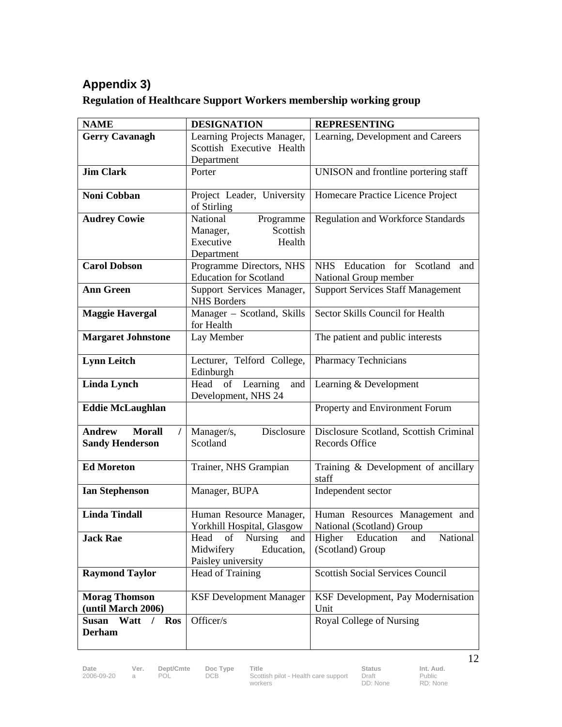# **Appendix 3)**

| <b>Regulation of Healthcare Support Workers membership working group</b> |  |
|--------------------------------------------------------------------------|--|
|                                                                          |  |

| <b>NAME</b>                    | <b>DESIGNATION</b>                                   | <b>REPRESENTING</b>                          |
|--------------------------------|------------------------------------------------------|----------------------------------------------|
| <b>Gerry Cavanagh</b>          | Learning Projects Manager,                           | Learning, Development and Careers            |
|                                | Scottish Executive Health                            |                                              |
|                                | Department                                           |                                              |
| <b>Jim Clark</b>               | Porter                                               | UNISON and frontline portering staff         |
| <b>Noni Cobban</b>             | Project Leader, University<br>of Stirling            | Homecare Practice Licence Project            |
| <b>Audrey Cowie</b>            | National<br>Programme                                | <b>Regulation and Workforce Standards</b>    |
|                                | Scottish<br>Manager,                                 |                                              |
|                                | Executive<br>Health                                  |                                              |
|                                | Department                                           |                                              |
| <b>Carol Dobson</b>            | Programme Directors, NHS                             | NHS Education for Scotland<br>and            |
|                                | <b>Education for Scotland</b>                        | National Group member                        |
| <b>Ann Green</b>               | Support Services Manager,<br><b>NHS Borders</b>      | <b>Support Services Staff Management</b>     |
| <b>Maggie Havergal</b>         | Manager - Scotland, Skills<br>for Health             | Sector Skills Council for Health             |
| <b>Margaret Johnstone</b>      | Lay Member                                           | The patient and public interests             |
| <b>Lynn Leitch</b>             | Lecturer, Telford College,<br>Edinburgh              | Pharmacy Technicians                         |
| <b>Linda Lynch</b>             | Head<br>of<br>Learning<br>and<br>Development, NHS 24 | Learning & Development                       |
| <b>Eddie McLaughlan</b>        |                                                      | Property and Environment Forum               |
| <b>Morall</b><br><b>Andrew</b> | Disclosure<br>Manager/s,                             | Disclosure Scotland, Scottish Criminal       |
| <b>Sandy Henderson</b>         | Scotland                                             | <b>Records Office</b>                        |
| <b>Ed Moreton</b>              | Trainer, NHS Grampian                                | Training & Development of ancillary<br>staff |
| <b>Ian Stephenson</b>          | Manager, BUPA                                        | Independent sector                           |
| <b>Linda Tindall</b>           | Human Resource Manager,                              | Human Resources Management and               |
|                                | Yorkhill Hospital, Glasgow                           | National (Scotland) Group                    |
| <b>Jack Rae</b>                | Head of Nursing and Higher Education                 | National<br>and                              |
|                                | Midwifery<br>Education,<br>Paisley university        | (Scotland) Group                             |
| <b>Raymond Taylor</b>          | Head of Training                                     | <b>Scottish Social Services Council</b>      |
|                                |                                                      |                                              |
| <b>Morag Thomson</b>           | <b>KSF Development Manager</b>                       | KSF Development, Pay Modernisation           |
| (until March 2006)             |                                                      | Unit                                         |
| Susan Watt / Ros               | Officer/s                                            | Royal College of Nursing                     |
| <b>Derham</b>                  |                                                      |                                              |